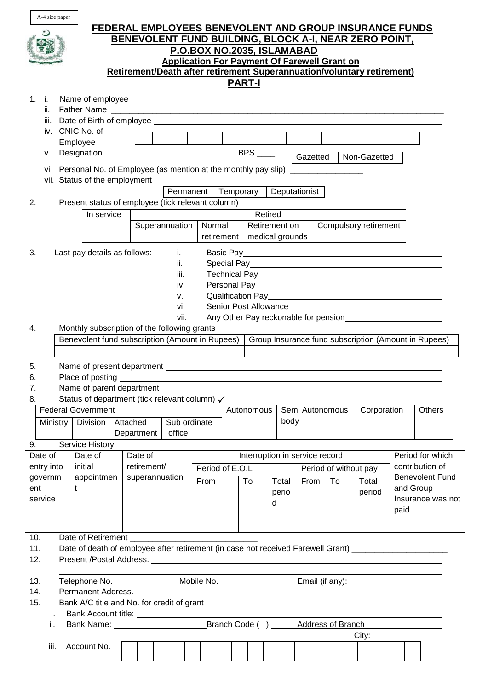| A-4 size paper                                                                                                                                    |                 |                                           |  |  |  |  |  |
|---------------------------------------------------------------------------------------------------------------------------------------------------|-----------------|-------------------------------------------|--|--|--|--|--|
| FEDERAL EMPLOYEES BENEVOLENT AND GROUP INSURANCE FUNDS<br>BENEVOLENT FUND BUILDING, BLOCK A-I, NEAR ZERO POINT,                                   |                 |                                           |  |  |  |  |  |
| P.O.BOX NO.2035, ISLAMABAD                                                                                                                        |                 |                                           |  |  |  |  |  |
| <b>Application For Payment Of Farewell Grant on</b><br>Retirement/Death after retirement Superannuation/voluntary retirement)                     |                 |                                           |  |  |  |  |  |
| <b>PART-I</b>                                                                                                                                     |                 |                                           |  |  |  |  |  |
| 1. i.                                                                                                                                             |                 |                                           |  |  |  |  |  |
| ii.<br>iii.                                                                                                                                       |                 |                                           |  |  |  |  |  |
| CNIC No. of<br>iv.<br>$\frac{1}{2}$                                                                                                               |                 |                                           |  |  |  |  |  |
| Employee<br>۷.                                                                                                                                    |                 |                                           |  |  |  |  |  |
| Gazetted<br>Personal No. of Employee (as mention at the monthly pay slip) _________________<br>vi                                                 | Non-Gazetted    |                                           |  |  |  |  |  |
| vii. Status of the employment                                                                                                                     |                 |                                           |  |  |  |  |  |
| Permanent   Temporary<br>Deputationist                                                                                                            |                 |                                           |  |  |  |  |  |
| Present status of employee (tick relevant column)<br>2.<br>In service<br>Retired                                                                  |                 |                                           |  |  |  |  |  |
| Superannuation<br>Normal<br>Retirement on<br>Compulsory retirement                                                                                |                 |                                           |  |  |  |  |  |
| medical grounds<br>retirement                                                                                                                     |                 |                                           |  |  |  |  |  |
| 3.<br>Last pay details as follows:<br>i.<br>Special Pay <b>Exercise Special Pay</b><br>ii.                                                        |                 |                                           |  |  |  |  |  |
| iii.                                                                                                                                              |                 |                                           |  |  |  |  |  |
| iv.                                                                                                                                               |                 |                                           |  |  |  |  |  |
| ν.<br>vi.                                                                                                                                         |                 |                                           |  |  |  |  |  |
| vii.                                                                                                                                              |                 |                                           |  |  |  |  |  |
| Monthly subscription of the following grants<br>4.                                                                                                |                 |                                           |  |  |  |  |  |
| Benevolent fund subscription (Amount in Rupees)<br>Group Insurance fund subscription (Amount in Rupees)                                           |                 |                                           |  |  |  |  |  |
| 5.                                                                                                                                                |                 |                                           |  |  |  |  |  |
| Place of posting<br>6.                                                                                                                            |                 |                                           |  |  |  |  |  |
| Name of parent department<br>7.<br>Status of department (tick relevant column) √<br>8.                                                            |                 |                                           |  |  |  |  |  |
| <b>Federal Government</b><br>Semi Autonomous<br>Autonomous                                                                                        | Corporation     | Others                                    |  |  |  |  |  |
| body<br>Sub ordinate<br><b>Division</b><br>Attached<br><b>Ministry</b>                                                                            |                 |                                           |  |  |  |  |  |
| office<br>Department<br>Service History<br>9.                                                                                                     |                 |                                           |  |  |  |  |  |
| Date of<br>Date of<br>Interruption in service record<br>Date of                                                                                   |                 | Period for which                          |  |  |  |  |  |
| retirement/<br>initial<br>entry into<br>Period of E.O.L<br>Period of without pay<br>appointmen<br>superannuation<br>governm                       |                 | contribution of<br><b>Benevolent Fund</b> |  |  |  |  |  |
| From<br>To<br>From<br>To<br>Total<br>t<br>ent<br>perio                                                                                            | Total<br>period | and Group                                 |  |  |  |  |  |
| service<br>d                                                                                                                                      |                 | Insurance was not                         |  |  |  |  |  |
|                                                                                                                                                   |                 |                                           |  |  |  |  |  |
|                                                                                                                                                   |                 | paid                                      |  |  |  |  |  |
|                                                                                                                                                   |                 |                                           |  |  |  |  |  |
| 10.<br>Date of Retirement<br>11.<br>Date of death of employee after retirement (in case not received Farewell Grant) ____________________________ |                 |                                           |  |  |  |  |  |
| 12.                                                                                                                                               |                 |                                           |  |  |  |  |  |
| 13.                                                                                                                                               |                 |                                           |  |  |  |  |  |
| Telephone No. _________________Mobile No. ______________________Email (if any): ____________________<br>14.<br>Permanent Address.                 |                 |                                           |  |  |  |  |  |
| 15.<br>Bank A/C title and No. for credit of grant                                                                                                 |                 |                                           |  |  |  |  |  |
| i.<br>ii.                                                                                                                                         |                 |                                           |  |  |  |  |  |
| City:<br>Account No.<br>iii.                                                                                                                      |                 |                                           |  |  |  |  |  |